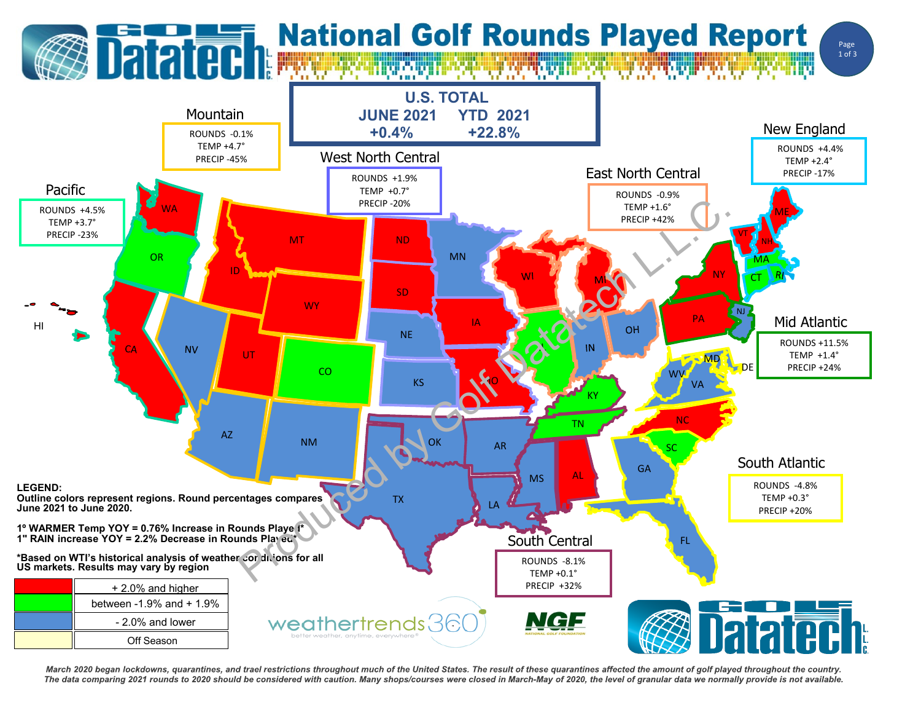## **Datated Mational Golf Rounds Played Report**





March 2020 began lockdowns, quarantines, and trael restrictions throughout much of the United States. The result of these quarantines affected the amount of golf played throughout the country. The data comparing 2021 rounds to 2020 should be considered with caution. Many shops/courses were closed in March-May of 2020, the level of granular data we normally provide is not available.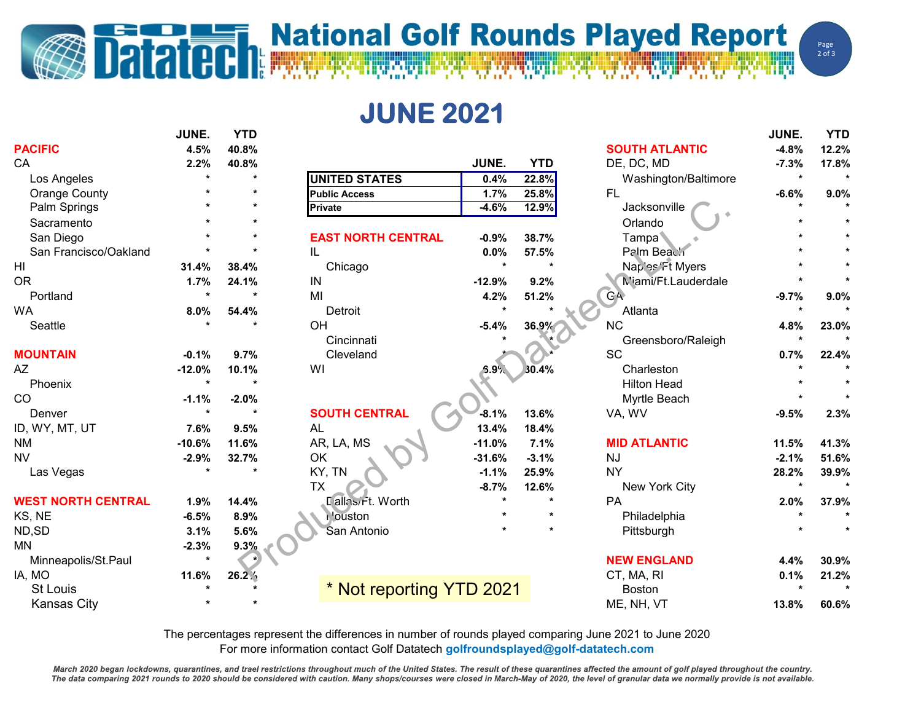## **Datated Report** National Golf Rounds Played Report

**JUNE 2021**

|                           | JUNE.    | <b>YTD</b> |                           |          |            |                       | JUNE.   | <b>YTD</b> |
|---------------------------|----------|------------|---------------------------|----------|------------|-----------------------|---------|------------|
| <b>PACIFIC</b>            | 4.5%     | 40.8%      |                           |          |            | <b>SOUTH ATLANTIC</b> | $-4.8%$ | 12.2%      |
| CA                        | 2.2%     | 40.8%      |                           | JUNE.    | <b>YTD</b> | DE, DC, MD            | $-7.3%$ | 17.8%      |
| Los Angeles               |          |            | <b>UNITED STATES</b>      | 0.4%     | 22.8%      | Washington/Baltimore  | $\star$ |            |
| <b>Orange County</b>      |          |            | <b>Public Access</b>      | 1.7%     | 25.8%      | <b>FL</b>             | $-6.6%$ | 9.0%       |
| Palm Springs              |          |            | <b>Private</b>            | $-4.6%$  | 12.9%      | Jacksonville          |         |            |
| Sacramento                |          |            |                           |          |            | Orlando               |         |            |
| San Diego                 |          |            | <b>EAST NORTH CENTRAL</b> | $-0.9%$  | 38.7%      | Tampa                 |         |            |
| San Francisco/Oakland     |          |            | IL                        | 0.0%     | 57.5%      | Palm Beach            |         |            |
| HI                        | 31.4%    | 38.4%      | Chicago                   | $\star$  | $\star$    | Naples Ft Myers       |         |            |
| <b>OR</b>                 | 1.7%     | 24.1%      | IN                        | $-12.9%$ | 9.2%       | M'ami/Ft.Lauderdale   |         |            |
| Portland                  | $\star$  |            | MI                        | 4.2%     | 51.2%      | GA <sub></sub>        | $-9.7%$ | 9.0%       |
| WA                        | 8.0%     | 54.4%      | Detroit                   |          |            | Atlanta               |         |            |
| Seattle                   |          |            | OH                        | $-5.4%$  | 36.9%      | <b>NC</b>             | 4.8%    | 23.0%      |
|                           |          |            | Cincinnati                |          |            | Greensboro/Raleigh    |         |            |
| <b>MOUNTAIN</b>           | $-0.1%$  | 9.7%       | Cleveland                 |          |            | <b>SC</b>             | 0.7%    | 22.4%      |
| AZ                        | $-12.0%$ | 10.1%      | WI                        | 5.9%     | 30.4%      | Charleston            |         |            |
| Phoenix                   | $\star$  |            |                           |          |            | <b>Hilton Head</b>    |         |            |
| CO                        | $-1.1%$  | $-2.0%$    |                           |          |            | Myrtle Beach          |         |            |
| Denver                    | $\star$  | $\star$    | <b>SOUTH CENTRAL</b>      | $-8.1%$  | 13.6%      | VA, WV                | $-9.5%$ | 2.3%       |
| ID, WY, MT, UT            | 7.6%     | 9.5%       | <b>AL</b>                 | 13.4%    | 18.4%      |                       |         |            |
| <b>NM</b>                 | $-10.6%$ | 11.6%      | AR, LA, MS                | $-11.0%$ | 7.1%       | <b>MID ATLANTIC</b>   | 11.5%   | 41.3%      |
| <b>NV</b>                 | $-2.9%$  | 32.7%      | OK                        | $-31.6%$ | $-3.1%$    | <b>NJ</b>             | $-2.1%$ | 51.6%      |
| Las Vegas                 | $\star$  |            | KY, TN                    | $-1.1%$  | 25.9%      | <b>NY</b>             | 28.2%   | 39.9%      |
|                           |          |            | <b>TX</b>                 | $-8.7%$  | 12.6%      | New York City         |         |            |
| <b>WEST NORTH CENTRAL</b> | 1.9%     | 14.4%      | Lallosirt. Worth          |          |            | PA                    | 2.0%    | 37.9%      |
| KS, NE                    | $-6.5%$  | 8.9%       | <b>i</b> 'ouston          |          |            | Philadelphia          |         |            |
| ND,SD                     | 3.1%     | 5.6%       | San Antonio               |          |            | Pittsburgh            |         |            |
| <b>MN</b>                 | $-2.3%$  | 9.3%       |                           |          |            |                       |         |            |
| Minneapolis/St.Paul       | $\star$  |            |                           |          |            | <b>NEW ENGLAND</b>    | 4.4%    | 30.9%      |
| IA, MO                    | 11.6%    | 26.2%      |                           |          |            | CT, MA, RI            | 0.1%    | 21.2%      |
| <b>St Louis</b>           |          |            | * Not reporting YTD 2021  |          |            | <b>Boston</b>         |         |            |
| <b>Kansas City</b>        |          |            |                           |          |            | ME, NH, VT            | 13.8%   | 60.6%      |

The percentages represent the differences in number of rounds played comparing June 2021 to June 2020 For more information contact Golf Datatech **golfroundsplayed@golf-datatech.com** 

March 2020 began lockdowns, quarantines, and trael restrictions throughout much of the United States. The result of these quarantines affected the amount of golf played throughout the country. The data comparing 2021 rounds to 2020 should be considered with caution. Many shops/courses were closed in March-May of 2020, the level of granular data we normally provide is not available.

Page  $2$  of  $3$ 

WW